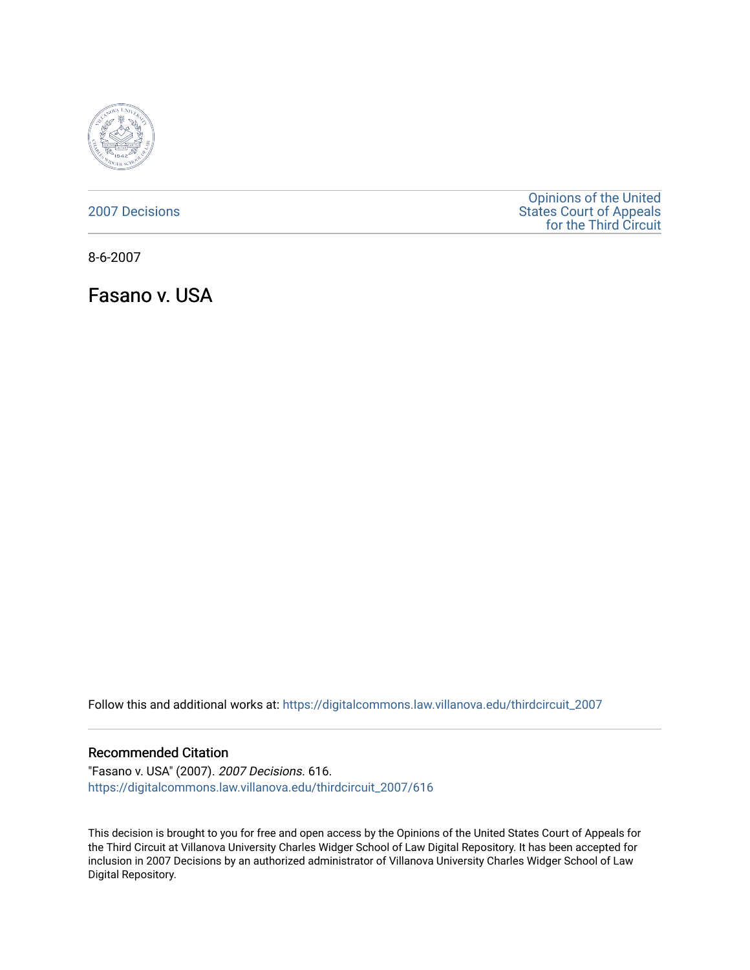

[2007 Decisions](https://digitalcommons.law.villanova.edu/thirdcircuit_2007)

[Opinions of the United](https://digitalcommons.law.villanova.edu/thirdcircuit)  [States Court of Appeals](https://digitalcommons.law.villanova.edu/thirdcircuit)  [for the Third Circuit](https://digitalcommons.law.villanova.edu/thirdcircuit) 

8-6-2007

Fasano v. USA

Follow this and additional works at: [https://digitalcommons.law.villanova.edu/thirdcircuit\\_2007](https://digitalcommons.law.villanova.edu/thirdcircuit_2007?utm_source=digitalcommons.law.villanova.edu%2Fthirdcircuit_2007%2F616&utm_medium=PDF&utm_campaign=PDFCoverPages) 

#### Recommended Citation

"Fasano v. USA" (2007). 2007 Decisions. 616. [https://digitalcommons.law.villanova.edu/thirdcircuit\\_2007/616](https://digitalcommons.law.villanova.edu/thirdcircuit_2007/616?utm_source=digitalcommons.law.villanova.edu%2Fthirdcircuit_2007%2F616&utm_medium=PDF&utm_campaign=PDFCoverPages)

This decision is brought to you for free and open access by the Opinions of the United States Court of Appeals for the Third Circuit at Villanova University Charles Widger School of Law Digital Repository. It has been accepted for inclusion in 2007 Decisions by an authorized administrator of Villanova University Charles Widger School of Law Digital Repository.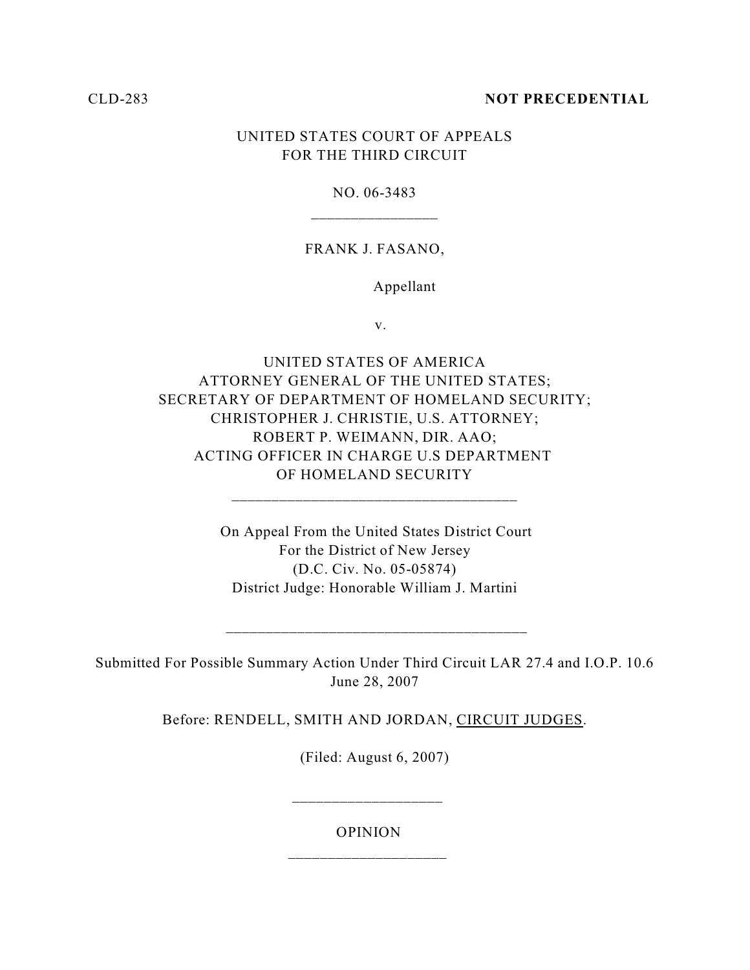## CLD-283 **NOT PRECEDENTIAL**

# UNITED STATES COURT OF APPEALS FOR THE THIRD CIRCUIT

## NO. 06-3483

## FRANK J. FASANO,

### Appellant

v.

UNITED STATES OF AMERICA ATTORNEY GENERAL OF THE UNITED STATES; SECRETARY OF DEPARTMENT OF HOMELAND SECURITY; CHRISTOPHER J. CHRISTIE, U.S. ATTORNEY; ROBERT P. WEIMANN, DIR. AAO; ACTING OFFICER IN CHARGE U.S DEPARTMENT OF HOMELAND SECURITY

> On Appeal From the United States District Court For the District of New Jersey (D.C. Civ. No. 05-05874) District Judge: Honorable William J. Martini

\_\_\_\_\_\_\_\_\_\_\_\_\_\_\_\_\_\_\_\_\_\_\_\_\_\_\_\_\_\_\_\_\_\_\_\_

Submitted For Possible Summary Action Under Third Circuit LAR 27.4 and I.O.P. 10.6 June 28, 2007

\_\_\_\_\_\_\_\_\_\_\_\_\_\_\_\_\_\_\_\_\_\_\_\_\_\_\_\_\_\_\_\_\_\_\_\_\_\_

Before: RENDELL, SMITH AND JORDAN, CIRCUIT JUDGES.

(Filed: August 6, 2007)

OPINION

 $\frac{1}{2}$  ,  $\frac{1}{2}$  ,  $\frac{1}{2}$  ,  $\frac{1}{2}$  ,  $\frac{1}{2}$  ,  $\frac{1}{2}$  ,  $\frac{1}{2}$  ,  $\frac{1}{2}$  ,  $\frac{1}{2}$  ,  $\frac{1}{2}$  ,  $\frac{1}{2}$  ,  $\frac{1}{2}$  ,  $\frac{1}{2}$  ,  $\frac{1}{2}$  ,  $\frac{1}{2}$  ,  $\frac{1}{2}$  ,  $\frac{1}{2}$  ,  $\frac{1}{2}$  ,  $\frac{1$ 

 $\frac{1}{2}$  ,  $\frac{1}{2}$  ,  $\frac{1}{2}$  ,  $\frac{1}{2}$  ,  $\frac{1}{2}$  ,  $\frac{1}{2}$  ,  $\frac{1}{2}$  ,  $\frac{1}{2}$  ,  $\frac{1}{2}$  ,  $\frac{1}{2}$  ,  $\frac{1}{2}$  ,  $\frac{1}{2}$  ,  $\frac{1}{2}$  ,  $\frac{1}{2}$  ,  $\frac{1}{2}$  ,  $\frac{1}{2}$  ,  $\frac{1}{2}$  ,  $\frac{1}{2}$  ,  $\frac{1$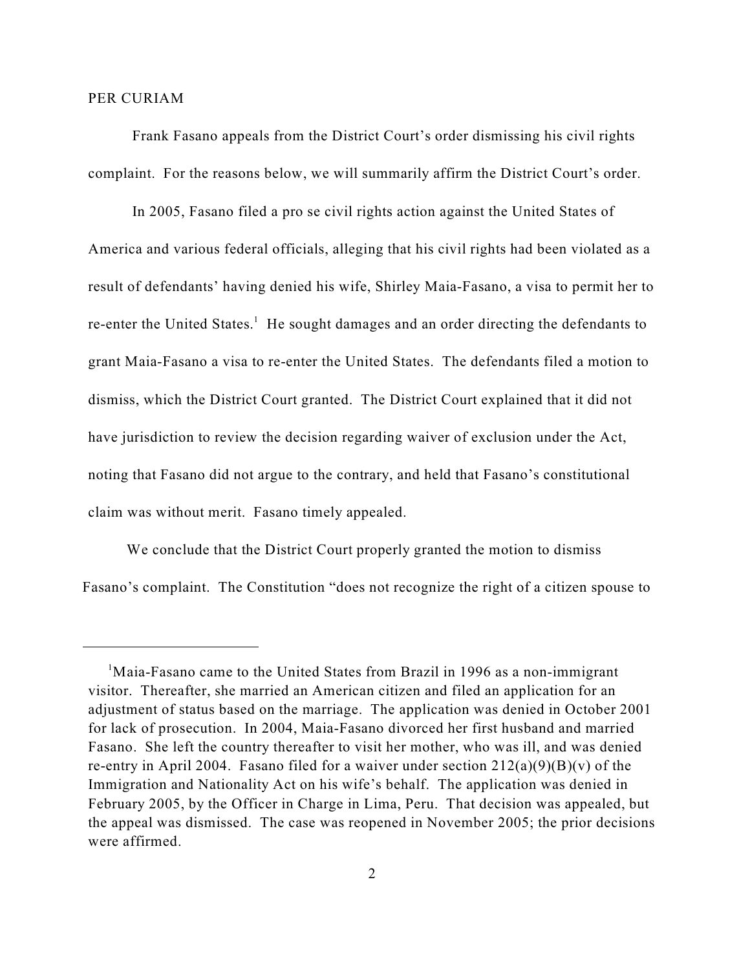#### PER CURIAM

Frank Fasano appeals from the District Court's order dismissing his civil rights complaint. For the reasons below, we will summarily affirm the District Court's order.

In 2005, Fasano filed a pro se civil rights action against the United States of America and various federal officials, alleging that his civil rights had been violated as a result of defendants' having denied his wife, Shirley Maia-Fasano, a visa to permit her to re-enter the United States.<sup>1</sup> He sought damages and an order directing the defendants to grant Maia-Fasano a visa to re-enter the United States. The defendants filed a motion to dismiss, which the District Court granted. The District Court explained that it did not have jurisdiction to review the decision regarding waiver of exclusion under the Act, noting that Fasano did not argue to the contrary, and held that Fasano's constitutional claim was without merit. Fasano timely appealed.

We conclude that the District Court properly granted the motion to dismiss Fasano's complaint. The Constitution "does not recognize the right of a citizen spouse to

<sup>&</sup>lt;sup>1</sup>Maia-Fasano came to the United States from Brazil in 1996 as a non-immigrant visitor. Thereafter, she married an American citizen and filed an application for an adjustment of status based on the marriage. The application was denied in October 2001 for lack of prosecution. In 2004, Maia-Fasano divorced her first husband and married Fasano. She left the country thereafter to visit her mother, who was ill, and was denied re-entry in April 2004. Fasano filed for a waiver under section  $212(a)(9)(B)(v)$  of the Immigration and Nationality Act on his wife's behalf. The application was denied in February 2005, by the Officer in Charge in Lima, Peru. That decision was appealed, but the appeal was dismissed. The case was reopened in November 2005; the prior decisions were affirmed.